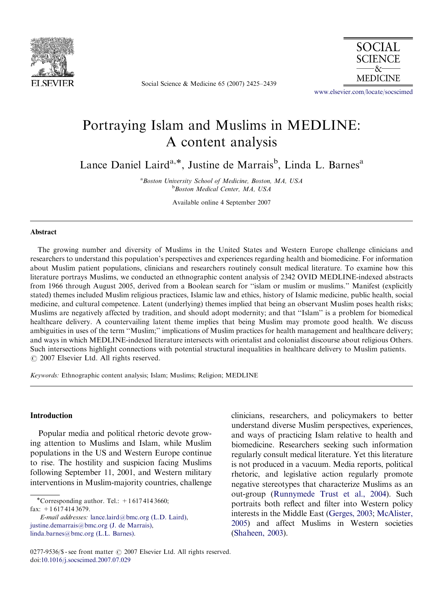

Social Science & Medicine 65 (2007) 2425–2439



<www.elsevier.com/locate/socscimed>

## Portraying Islam and Muslims in MEDLINE: A content analysis

Lance Daniel Laird<sup>a,\*</sup>, Justine de Marrais<sup>b</sup>, Linda L. Barnes<sup>a</sup>

<sup>a</sup> Boston University School of Medicine, Boston, MA, USA **b**Boston Medical Center, MA, USA

Available online 4 September 2007

#### Abstract

The growing number and diversity of Muslims in the United States and Western Europe challenge clinicians and researchers to understand this population's perspectives and experiences regarding health and biomedicine. For information about Muslim patient populations, clinicians and researchers routinely consult medical literature. To examine how this literature portrays Muslims, we conducted an ethnographic content analysis of 2342 OVID MEDLINE-indexed abstracts from 1966 through August 2005, derived from a Boolean search for ''islam or muslim or muslims.'' Manifest (explicitly stated) themes included Muslim religious practices, Islamic law and ethics, history of Islamic medicine, public health, social medicine, and cultural competence. Latent (underlying) themes implied that being an observant Muslim poses health risks; Muslims are negatively affected by tradition, and should adopt modernity; and that ''Islam'' is a problem for biomedical healthcare delivery. A countervailing latent theme implies that being Muslim may promote good health. We discuss ambiguities in uses of the term ''Muslim;'' implications of Muslim practices for health management and healthcare delivery; and ways in which MEDLINE-indexed literature intersects with orientalist and colonialist discourse about religious Others. Such intersections highlight connections with potential structural inequalities in healthcare delivery to Muslim patients.  $\odot$  2007 Elsevier Ltd. All rights reserved.

Keywords: Ethnographic content analysis; Islam; Muslims; Religion; MEDLINE

#### Introduction

Popular media and political rhetoric devote growing attention to Muslims and Islam, while Muslim populations in the US and Western Europe continue to rise. The hostility and suspicion facing Muslims following September 11, 2001, and Western military interventions in Muslim-majority countries, challenge

E-mail addresses: [lance.laird@bmc.org \(L.D. Laird\)](mailto:lance.laird@bmc.org), [justine.demarrais@bmc.org \(J. de Marrais\),](mailto:justine.demarrais@bmc.org) [linda.barnes@bmc.org \(L.L. Barnes\)](mailto:linda.barnes@bmc.org).

clinicians, researchers, and policymakers to better understand diverse Muslim perspectives, experiences, and ways of practicing Islam relative to health and biomedicine. Researchers seeking such information regularly consult medical literature. Yet this literature is not produced in a vacuum. Media reports, political rhetoric, and legislative action regularly promote negative stereotypes that characterize Muslims as an out-group [\(Runnymede Trust et al., 2004\)](#page--1-0). Such portraits both reflect and filter into Western policy interests in the Middle East ([Gerges, 2003;](#page--1-0) [McAlister,](#page--1-0) [2005](#page--1-0)) and affect Muslims in Western societies [\(Shaheen, 2003](#page--1-0)).

<sup>\*</sup>Corresponding author. Tel.:  $+16174143660$ ;

fax: +1 617 414 3679.

<sup>0277-9536/\$ -</sup> see front matter  $\odot$  2007 Elsevier Ltd. All rights reserved. doi:[10.1016/j.socscimed.2007.07.029](dx.doi.org/10.1016/j.socscimed.2007.07.029)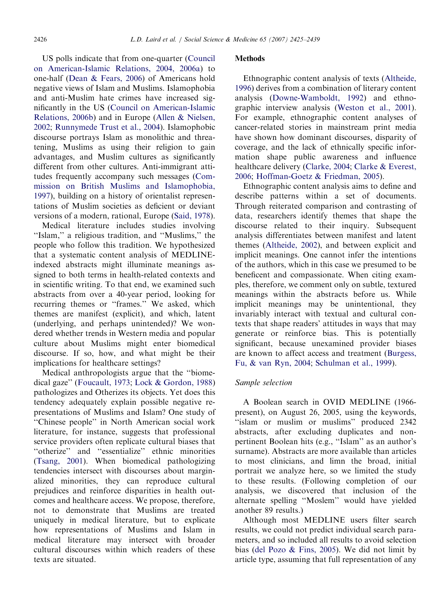US polls indicate that from one-quarter ([Council](#page--1-0) [on American-Islamic Relations, 2004, 2006a\)](#page--1-0) to one-half ([Dean & Fears, 2006](#page--1-0)) of Americans hold negative views of Islam and Muslims. Islamophobia and anti-Muslim hate crimes have increased significantly in the US [\(Council on American-Islamic](#page--1-0) [Relations, 2006b\)](#page--1-0) and in Europe [\(Allen & Nielsen,](#page--1-0) [2002](#page--1-0); [Runnymede Trust et al., 2004\)](#page--1-0). Islamophobic discourse portrays Islam as monolithic and threatening, Muslims as using their religion to gain advantages, and Muslim cultures as significantly different from other cultures. Anti-immigrant attitudes frequently accompany such messages [\(Com](#page--1-0)[mission on British Muslims and Islamophobia,](#page--1-0) [1997](#page--1-0)), building on a history of orientalist representations of Muslim societies as deficient or deviant versions of a modern, rational, Europe [\(Said, 1978](#page--1-0)).

Medical literature includes studies involving ''Islam,'' a religious tradition, and ''Muslims,'' the people who follow this tradition. We hypothesized that a systematic content analysis of MEDLINEindexed abstracts might illuminate meanings assigned to both terms in health-related contexts and in scientific writing. To that end, we examined such abstracts from over a 40-year period, looking for recurring themes or ''frames.'' We asked, which themes are manifest (explicit), and which, latent (underlying, and perhaps unintended)? We wondered whether trends in Western media and popular culture about Muslims might enter biomedical discourse. If so, how, and what might be their implications for healthcare settings?

Medical anthropologists argue that the ''biomedical gaze'' ([Foucault, 1973;](#page--1-0) [Lock & Gordon, 1988\)](#page--1-0) pathologizes and Otherizes its objects. Yet does this tendency adequately explain possible negative representations of Muslims and Islam? One study of ''Chinese people'' in North American social work literature, for instance, suggests that professional service providers often replicate cultural biases that ''otherize'' and ''essentialize'' ethnic minorities ([Tsang, 2001](#page--1-0)). When biomedical pathologizing tendencies intersect with discourses about marginalized minorities, they can reproduce cultural prejudices and reinforce disparities in health outcomes and healthcare access. We propose, therefore, not to demonstrate that Muslims are treated uniquely in medical literature, but to explicate how representations of Muslims and Islam in medical literature may intersect with broader cultural discourses within which readers of these texts are situated.

#### **Methods**

Ethnographic content analysis of texts ([Altheide,](#page--1-0) [1996](#page--1-0)) derives from a combination of literary content analysis ([Downe-Wamboldt, 1992](#page--1-0)) and ethnographic interview analysis [\(Weston et al., 2001](#page--1-0)). For example, ethnographic content analyses of cancer-related stories in mainstream print media have shown how dominant discourses, disparity of coverage, and the lack of ethnically specific information shape public awareness and influence healthcare delivery [\(Clarke, 2004](#page--1-0); [Clarke & Everest,](#page--1-0) [2006](#page--1-0); [Hoffman-Goetz & Friedman, 2005\)](#page--1-0).

Ethnographic content analysis aims to define and describe patterns within a set of documents. Through reiterated comparison and contrasting of data, researchers identify themes that shape the discourse related to their inquiry. Subsequent analysis differentiates between manifest and latent themes ([Altheide, 2002\)](#page--1-0), and between explicit and implicit meanings. One cannot infer the intentions of the authors, which in this case we presumed to be beneficent and compassionate. When citing examples, therefore, we comment only on subtle, textured meanings within the abstracts before us. While implicit meanings may be unintentional, they invariably interact with textual and cultural contexts that shape readers' attitudes in ways that may generate or reinforce bias. This is potentially significant, because unexamined provider biases are known to affect access and treatment ([Burgess,](#page--1-0) [Fu,](#page--1-0) [& van Ryn, 2004](#page--1-0); [Schulman et al., 1999\)](#page--1-0).

### Sample selection

A Boolean search in OVID MEDLINE (1966 present), on August 26, 2005, using the keywords, "islam or muslim or muslims" produced 2342 abstracts, after excluding duplicates and nonpertinent Boolean hits (e.g., ''Islam'' as an author's surname). Abstracts are more available than articles to most clinicians, and limn the broad, initial portrait we analyze here, so we limited the study to these results. (Following completion of our analysis, we discovered that inclusion of the alternate spelling ''Moslem'' would have yielded another 89 results.)

Although most MEDLINE users filter search results, we could not predict individual search parameters, and so included all results to avoid selection bias ([del Pozo](#page--1-0) [& Fins, 2005](#page--1-0)). We did not limit by article type, assuming that full representation of any